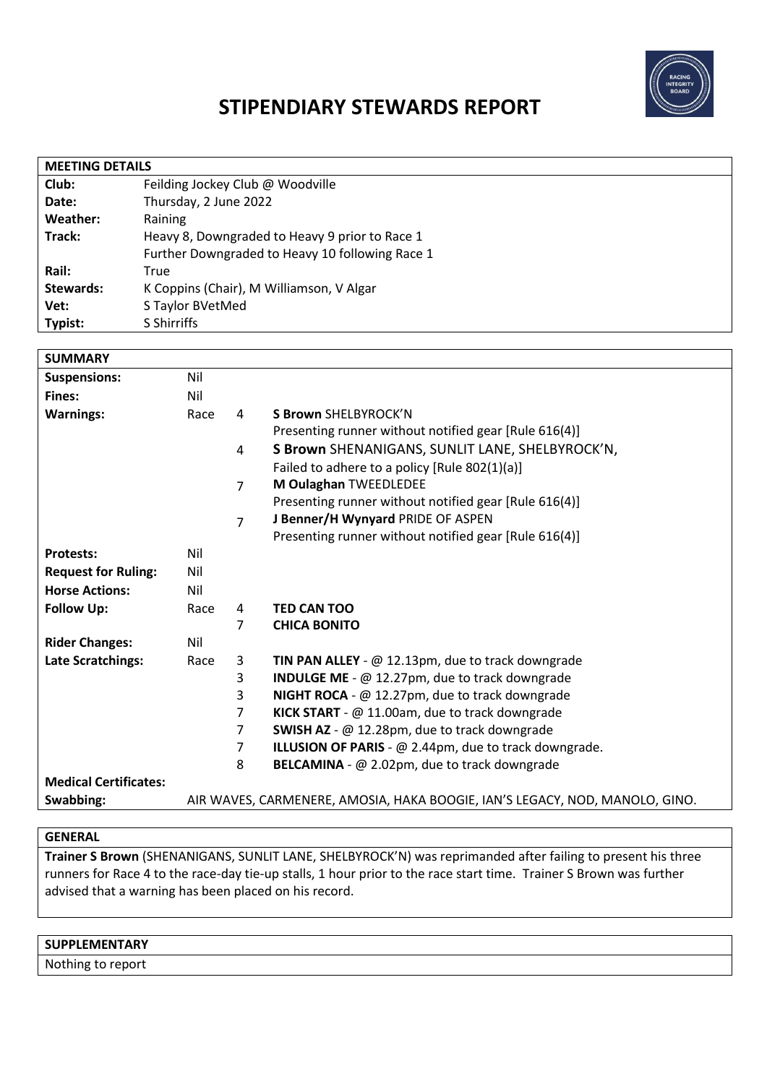

# **STIPENDIARY STEWARDS REPORT**

| <b>MEETING DETAILS</b> |                                                 |  |  |  |
|------------------------|-------------------------------------------------|--|--|--|
| Club:                  | Feilding Jockey Club @ Woodville                |  |  |  |
| Date:                  | Thursday, 2 June 2022                           |  |  |  |
| Weather:               | Raining                                         |  |  |  |
| Track:                 | Heavy 8, Downgraded to Heavy 9 prior to Race 1  |  |  |  |
|                        | Further Downgraded to Heavy 10 following Race 1 |  |  |  |
| Rail:                  | True                                            |  |  |  |
| Stewards:              | K Coppins (Chair), M Williamson, V Algar        |  |  |  |
| Vet:                   | S Taylor BVetMed                                |  |  |  |
| Typist:                | S Shirriffs                                     |  |  |  |
|                        |                                                 |  |  |  |

| <b>SUMMARY</b>               |                                                                             |                |                                                            |
|------------------------------|-----------------------------------------------------------------------------|----------------|------------------------------------------------------------|
| <b>Suspensions:</b>          | Nil                                                                         |                |                                                            |
| Fines:                       | Nil                                                                         |                |                                                            |
| <b>Warnings:</b>             | Race                                                                        | 4              | <b>S Brown SHELBYROCK'N</b>                                |
|                              |                                                                             |                | Presenting runner without notified gear [Rule 616(4)]      |
|                              |                                                                             | 4              | S Brown SHENANIGANS, SUNLIT LANE, SHELBYROCK'N,            |
|                              |                                                                             |                | Failed to adhere to a policy [Rule 802(1)(a)]              |
|                              |                                                                             | $\overline{7}$ | M Oulaghan TWEEDLEDEE                                      |
|                              |                                                                             |                | Presenting runner without notified gear [Rule 616(4)]      |
|                              |                                                                             | $\overline{7}$ | J Benner/H Wynyard PRIDE OF ASPEN                          |
|                              |                                                                             |                | Presenting runner without notified gear [Rule 616(4)]      |
| <b>Protests:</b>             | Nil                                                                         |                |                                                            |
| <b>Request for Ruling:</b>   | Nil                                                                         |                |                                                            |
| <b>Horse Actions:</b>        | Nil                                                                         |                |                                                            |
| <b>Follow Up:</b>            | Race                                                                        | 4              | <b>TED CAN TOO</b>                                         |
|                              |                                                                             | 7              | <b>CHICA BONITO</b>                                        |
| <b>Rider Changes:</b>        | Nil                                                                         |                |                                                            |
| <b>Late Scratchings:</b>     | Race                                                                        | 3              | <b>TIN PAN ALLEY</b> - $@$ 12.13pm, due to track downgrade |
|                              |                                                                             | 3              | <b>INDULGE ME</b> - @ 12.27pm, due to track downgrade      |
|                              |                                                                             | 3              | <b>NIGHT ROCA</b> - $@$ 12.27pm, due to track downgrade    |
|                              |                                                                             | 7              | KICK START - @ 11.00am, due to track downgrade             |
|                              |                                                                             | 7              | SWISH AZ - @ 12.28pm, due to track downgrade               |
|                              |                                                                             | 7              | ILLUSION OF PARIS - @ 2.44pm, due to track downgrade.      |
|                              |                                                                             | 8              | BELCAMINA - @ 2.02pm, due to track downgrade               |
| <b>Medical Certificates:</b> |                                                                             |                |                                                            |
| Swabbing:                    | AIR WAVES, CARMENERE, AMOSIA, HAKA BOOGIE, IAN'S LEGACY, NOD, MANOLO, GINO. |                |                                                            |

#### **GENERAL**

**Trainer S Brown** (SHENANIGANS, SUNLIT LANE, SHELBYROCK'N) was reprimanded after failing to present his three runners for Race 4 to the race-day tie-up stalls, 1 hour prior to the race start time. Trainer S Brown was further advised that a warning has been placed on his record.

#### **SUPPLEMENTARY**

Nothing to report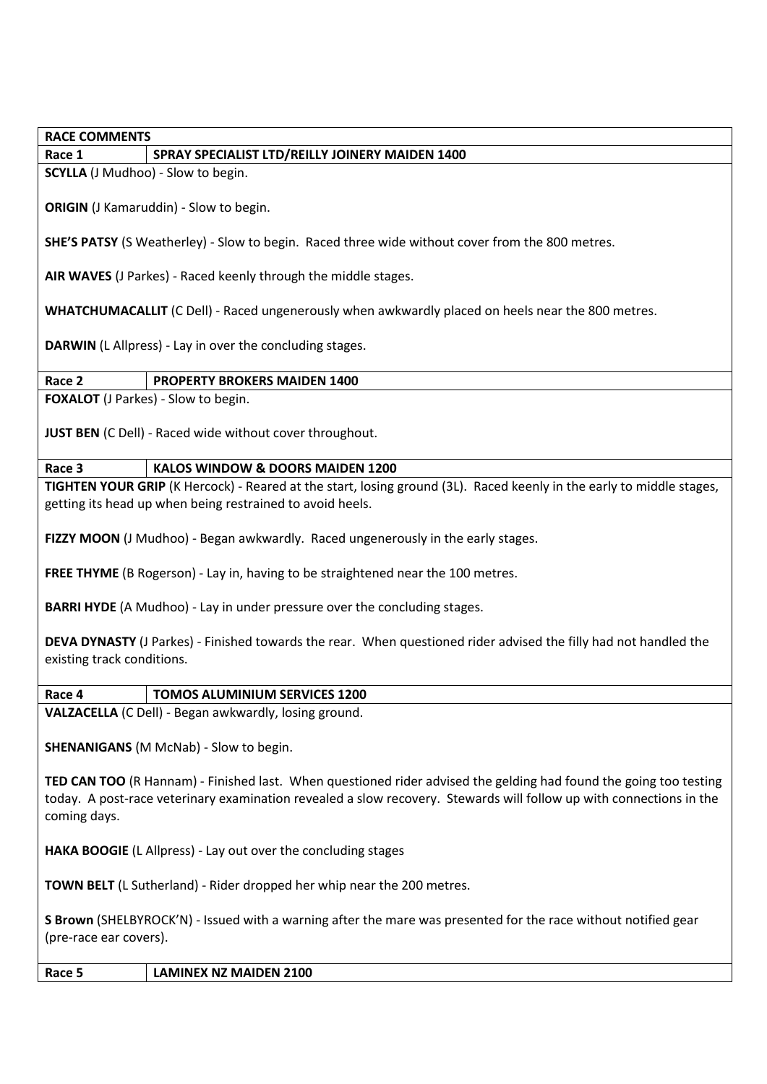**RACE COMMENTS**

## **Race 1 SPRAY SPECIALIST LTD/REILLY JOINERY MAIDEN 1400**

**SCYLLA** (J Mudhoo) - Slow to begin.

**ORIGIN** (J Kamaruddin) - Slow to begin.

**SHE'S PATSY** (S Weatherley) - Slow to begin. Raced three wide without cover from the 800 metres.

**AIR WAVES** (J Parkes) - Raced keenly through the middle stages.

**WHATCHUMACALLIT** (C Dell) - Raced ungenerously when awkwardly placed on heels near the 800 metres.

**DARWIN** (L Allpress) - Lay in over the concluding stages.

## **Race 2 PROPERTY BROKERS MAIDEN 1400**

**FOXALOT** (J Parkes) - Slow to begin.

**JUST BEN** (C Dell) - Raced wide without cover throughout.

## **Race 3 KALOS WINDOW & DOORS MAIDEN 1200**

**TIGHTEN YOUR GRIP** (K Hercock) - Reared at the start, losing ground (3L). Raced keenly in the early to middle stages, getting its head up when being restrained to avoid heels.

**FIZZY MOON** (J Mudhoo) - Began awkwardly. Raced ungenerously in the early stages.

**FREE THYME** (B Rogerson) - Lay in, having to be straightened near the 100 metres.

**BARRI HYDE** (A Mudhoo) - Lay in under pressure over the concluding stages.

**DEVA DYNASTY** (J Parkes) - Finished towards the rear. When questioned rider advised the filly had not handled the existing track conditions.

#### **Race 4 TOMOS ALUMINIUM SERVICES 1200**

**VALZACELLA** (C Dell) - Began awkwardly, losing ground.

**SHENANIGANS** (M McNab) - Slow to begin.

**TED CAN TOO** (R Hannam) - Finished last. When questioned rider advised the gelding had found the going too testing today. A post-race veterinary examination revealed a slow recovery. Stewards will follow up with connections in the coming days.

**HAKA BOOGIE** (L Allpress) - Lay out over the concluding stages

**TOWN BELT** (L Sutherland) - Rider dropped her whip near the 200 metres.

**S Brown** (SHELBYROCK'N) - Issued with a warning after the mare was presented for the race without notified gear (pre-race ear covers).

**Race 5 LAMINEX NZ MAIDEN 2100**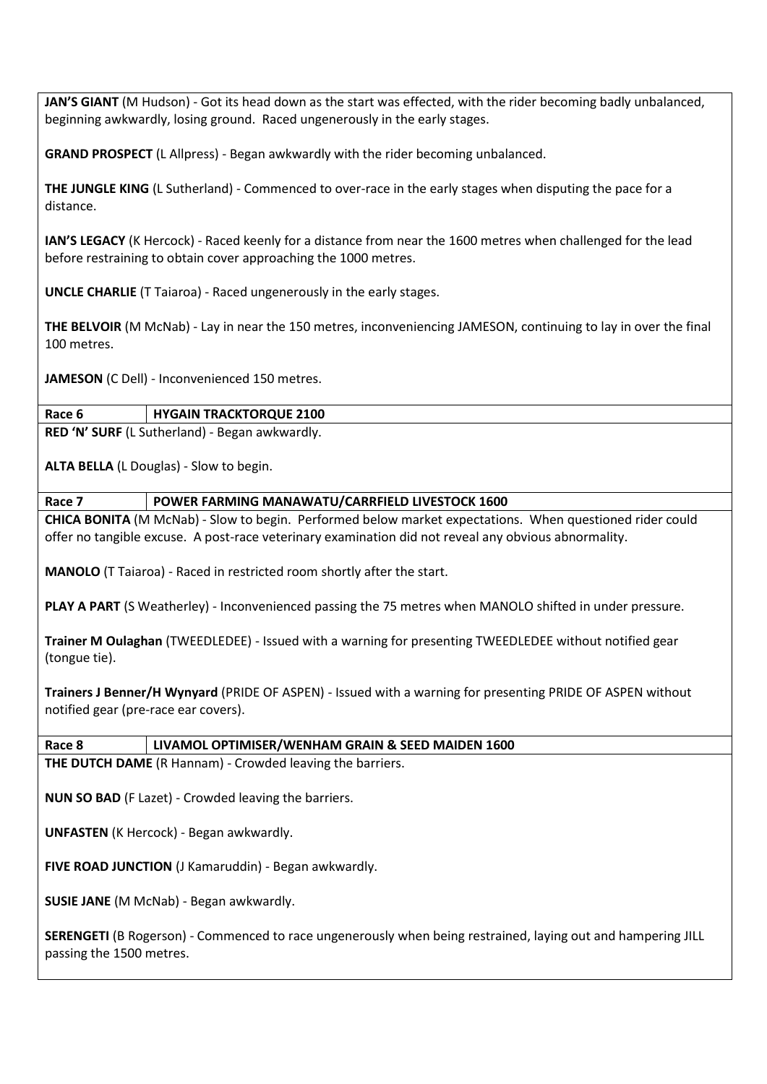**JAN'S GIANT** (M Hudson) - Got its head down as the start was effected, with the rider becoming badly unbalanced, beginning awkwardly, losing ground. Raced ungenerously in the early stages.

**GRAND PROSPECT** (L Allpress) - Began awkwardly with the rider becoming unbalanced.

**THE JUNGLE KING** (L Sutherland) - Commenced to over-race in the early stages when disputing the pace for a distance.

**IAN'S LEGACY** (K Hercock) - Raced keenly for a distance from near the 1600 metres when challenged for the lead before restraining to obtain cover approaching the 1000 metres.

**UNCLE CHARLIE** (T Taiaroa) - Raced ungenerously in the early stages.

**THE BELVOIR** (M McNab) - Lay in near the 150 metres, inconveniencing JAMESON, continuing to lay in over the final 100 metres.

**JAMESON** (C Dell) - Inconvenienced 150 metres.

#### **Race 6 HYGAIN TRACKTORQUE 2100**

**RED 'N' SURF** (L Sutherland) - Began awkwardly.

**ALTA BELLA** (L Douglas) - Slow to begin.

**Race 7 POWER FARMING MANAWATU/CARRFIELD LIVESTOCK 1600**

**CHICA BONITA** (M McNab) - Slow to begin. Performed below market expectations. When questioned rider could offer no tangible excuse. A post-race veterinary examination did not reveal any obvious abnormality.

**MANOLO** (T Taiaroa) - Raced in restricted room shortly after the start.

**PLAY A PART** (S Weatherley) - Inconvenienced passing the 75 metres when MANOLO shifted in under pressure.

**Trainer M Oulaghan** (TWEEDLEDEE) - Issued with a warning for presenting TWEEDLEDEE without notified gear (tongue tie).

**Trainers J Benner/H Wynyard** (PRIDE OF ASPEN) - Issued with a warning for presenting PRIDE OF ASPEN without notified gear (pre-race ear covers).

**Race 8 LIVAMOL OPTIMISER/WENHAM GRAIN & SEED MAIDEN 1600**

**THE DUTCH DAME** (R Hannam) - Crowded leaving the barriers.

**NUN SO BAD** (F Lazet) - Crowded leaving the barriers.

**UNFASTEN** (K Hercock) - Began awkwardly.

**FIVE ROAD JUNCTION** (J Kamaruddin) - Began awkwardly.

**SUSIE JANE** (M McNab) - Began awkwardly.

**SERENGETI** (B Rogerson) - Commenced to race ungenerously when being restrained, laying out and hampering JILL passing the 1500 metres.